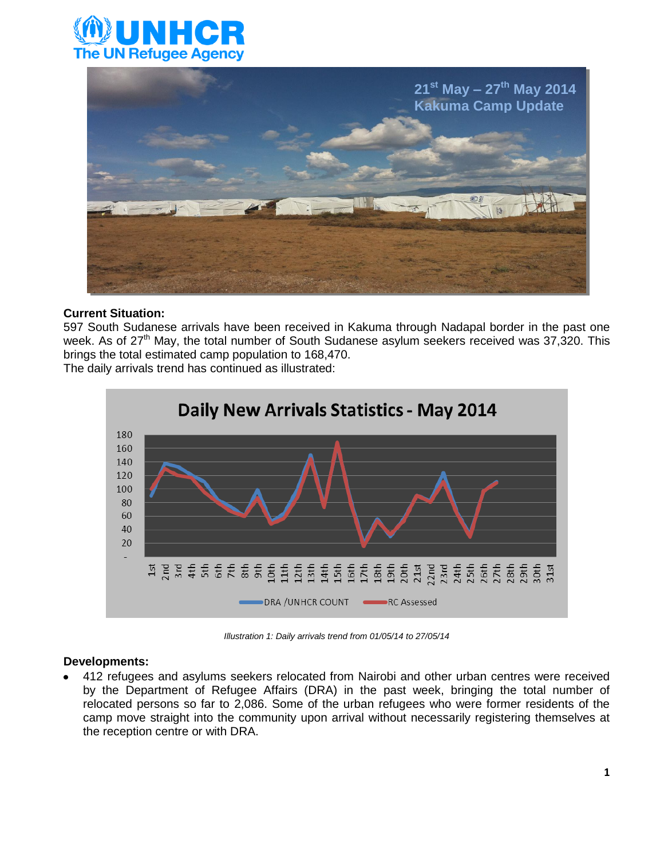



#### **Current Situation:**

597 South Sudanese arrivals have been received in Kakuma through Nadapal border in the past one week. As of 27<sup>th</sup> May, the total number of South Sudanese asylum seekers received was 37,320. This brings the total estimated camp population to 168,470.

The daily arrivals trend has continued as illustrated:



*Illustration 1: Daily arrivals trend from 01/05/14 to 27/05/14*

#### **Developments:**

412 refugees and asylums seekers relocated from Nairobi and other urban centres were received by the Department of Refugee Affairs (DRA) in the past week, bringing the total number of relocated persons so far to 2,086. Some of the urban refugees who were former residents of the camp move straight into the community upon arrival without necessarily registering themselves at the reception centre or with DRA.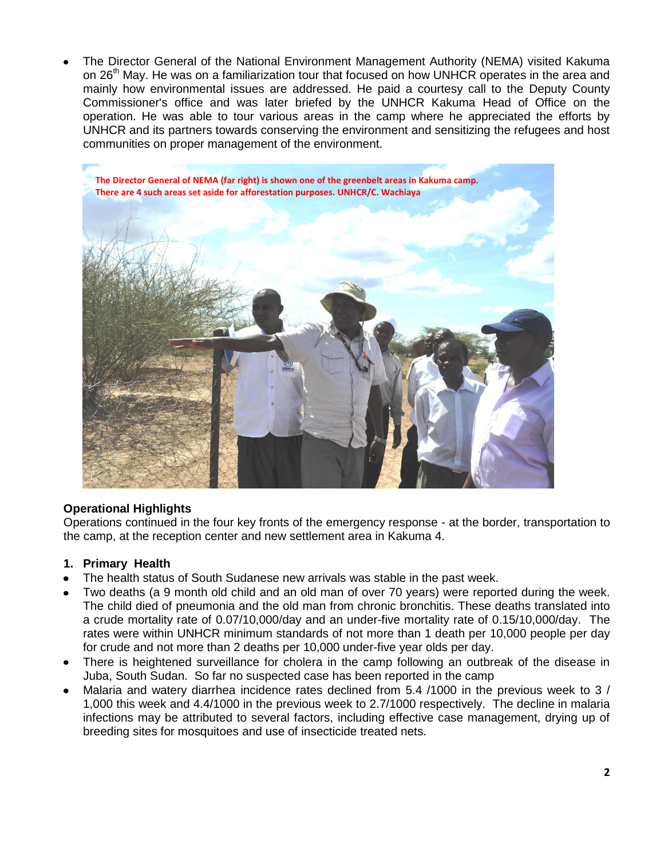The Director General of the National Environment Management Authority (NEMA) visited Kakuma on 26<sup>th</sup> May. He was on a familiarization tour that focused on how UNHCR operates in the area and mainly how environmental issues are addressed. He paid a courtesy call to the Deputy County Commissioner's office and was later briefed by the UNHCR Kakuma Head of Office on the operation. He was able to tour various areas in the camp where he appreciated the efforts by UNHCR and its partners towards conserving the environment and sensitizing the refugees and host communities on proper management of the environment.



# **Operational Highlights**

Operations continued in the four key fronts of the emergency response - at the border, transportation to the camp, at the reception center and new settlement area in Kakuma 4.

#### **1. Primary Health**

- The health status of South Sudanese new arrivals was stable in the past week.
- Two deaths (a 9 month old child and an old man of over 70 years) were reported during the week. The child died of pneumonia and the old man from chronic bronchitis. These deaths translated into a crude mortality rate of 0.07/10,000/day and an under-five mortality rate of 0.15/10,000/day. The rates were within UNHCR minimum standards of not more than 1 death per 10,000 people per day for crude and not more than 2 deaths per 10,000 under-five year olds per day.
- There is heightened surveillance for cholera in the camp following an outbreak of the disease in Juba, South Sudan. So far no suspected case has been reported in the camp
- Malaria and watery diarrhea incidence rates declined from 5.4 /1000 in the previous week to 3 / 1,000 this week and 4.4/1000 in the previous week to 2.7/1000 respectively. The decline in malaria infections may be attributed to several factors, including effective case management, drying up of breeding sites for mosquitoes and use of insecticide treated nets.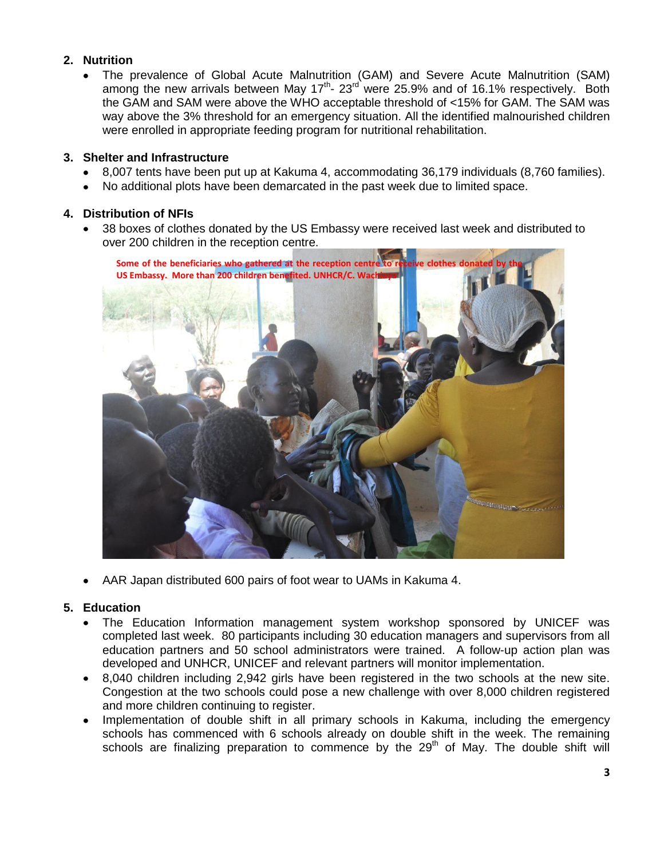# **2. Nutrition**

The prevalence of Global Acute Malnutrition (GAM) and Severe Acute Malnutrition (SAM) among the new arrivals between May 17<sup>th</sup>- 23<sup>rd</sup> were 25.9% and of 16.1% respectively. Both the GAM and SAM were above the WHO acceptable threshold of <15% for GAM. The SAM was way above the 3% threshold for an emergency situation. All the identified malnourished children were enrolled in appropriate feeding program for nutritional rehabilitation.

### **3. Shelter and Infrastructure**

- 8,007 tents have been put up at Kakuma 4, accommodating 36,179 individuals (8,760 families).
- No additional plots have been demarcated in the past week due to limited space.

## **4. Distribution of NFIs**

38 boxes of clothes donated by the US Embassy were received last week and distributed to over 200 children in the reception centre.



AAR Japan distributed 600 pairs of foot wear to UAMs in Kakuma 4.  $\bullet$ 

#### **5. Education**

- The Education Information management system workshop sponsored by UNICEF was completed last week. 80 participants including 30 education managers and supervisors from all education partners and 50 school administrators were trained. A follow-up action plan was developed and UNHCR, UNICEF and relevant partners will monitor implementation.
- 8,040 children including 2,942 girls have been registered in the two schools at the new site. Congestion at the two schools could pose a new challenge with over 8,000 children registered and more children continuing to register.
- Implementation of double shift in all primary schools in Kakuma, including the emergency schools has commenced with 6 schools already on double shift in the week. The remaining schools are finalizing preparation to commence by the 29<sup>th</sup> of May. The double shift will